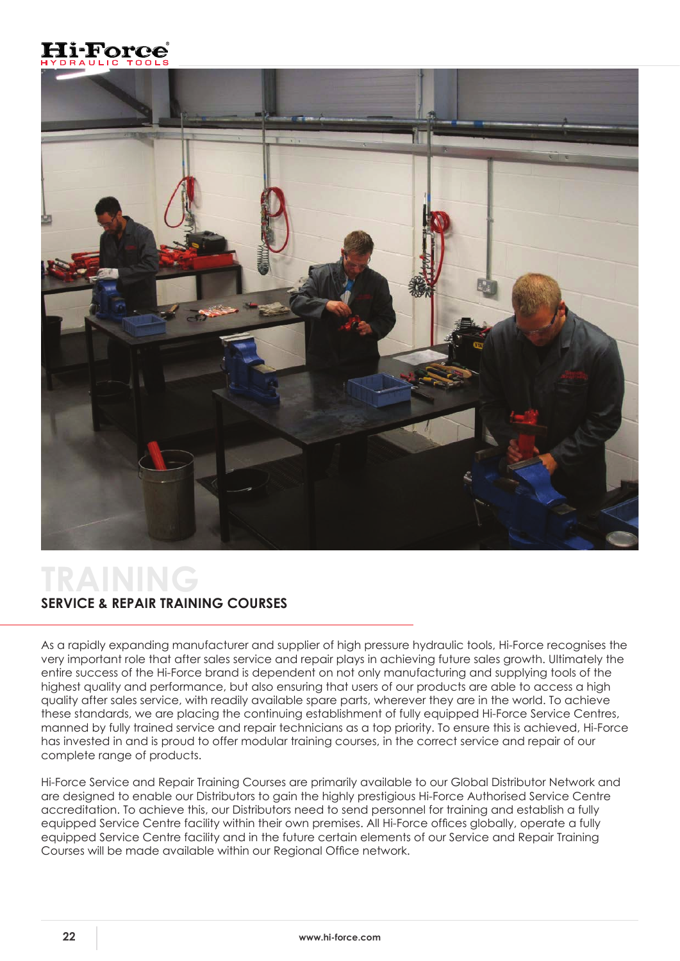



## **TRAINING SERVICE & REPAIR TRAINING COURSES**

As a rapidly expanding manufacturer and supplier of high pressure hydraulic tools, Hi-Force recognises the very important role that after sales service and repair plays in achieving future sales growth. Ultimately the entire success of the Hi-Force brand is dependent on not only manufacturing and supplying tools of the highest quality and performance, but also ensuring that users of our products are able to access a high quality after sales service, with readily available spare parts, wherever they are in the world. To achieve these standards, we are placing the continuing establishment of fully equipped Hi-Force Service Centres, manned by fully trained service and repair technicians as a top priority. To ensure this is achieved, Hi-Force has invested in and is proud to offer modular training courses, in the correct service and repair of our complete range of products.

Hi-Force Service and Repair Training Courses are primarily available to our Global Distributor Network and are designed to enable our Distributors to gain the highly prestigious Hi-Force Authorised Service Centre accreditation. To achieve this, our Distributors need to send personnel for training and establish a fully equipped Service Centre facility within their own premises. All Hi-Force offices globally, operate a fully equipped Service Centre facility and in the future certain elements of our Service and Repair Training Courses will be made available within our Regional Office network.